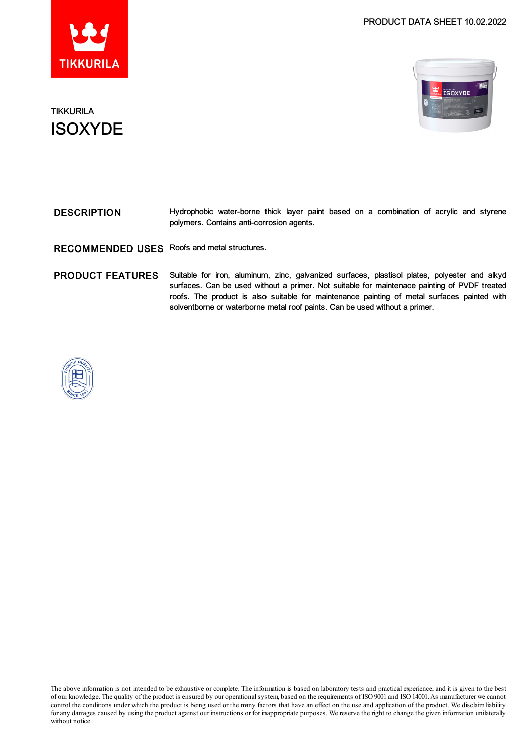

### PRODUCT DATA SHEET 10.02.2022



## **TIKKURILA ISOXYDE**

| <b>DESCRIPTION</b> |                                           |  |  |  | Hydrophobic water-borne thick layer paint based on a combination of acrylic and styrene |  |  |
|--------------------|-------------------------------------------|--|--|--|-----------------------------------------------------------------------------------------|--|--|
|                    | polymers. Contains anti-corrosion agents. |  |  |  |                                                                                         |  |  |

RECOMMENDED USES Roofs and metal structures.

PRODUCT FEATURES Suitable for iron, aluminum, zinc, galvanized surfaces, plastisol plates, polyester and alkyd surfaces. Can be used without a primer. Not suitable for maintenace painting of PVDF treated roofs. The product is also suitable for maintenance painting of metal surfaces painted with solventborne or waterborne metal roof paints. Can be used without a primer.



The above information is not intended to be exhaustive or complete. The information is based on laboratory tests and practical experience, and it is given to the best of our knowledge. The quality of the product is ensured by our operationalsystem, based on the requirements of ISO9001 and ISO14001.As manufacturer we cannot control the conditions under which the product is being used or the many factors that have an effect on the use and application of the product. We disclaimliability forany damages caused by using the product against our instructions or for inappropriate purposes. We reserve the right to change the given information unilaterally without notice.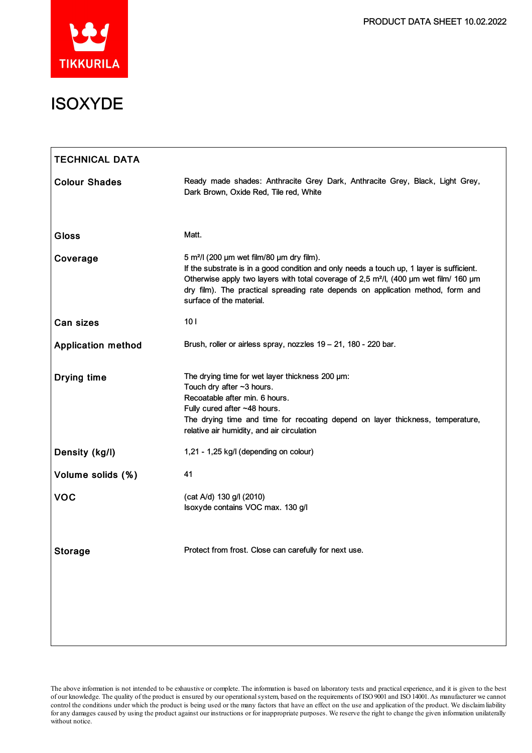

| <b>TECHNICAL DATA</b>     |                                                                                                                                                                                                                                                                                                                                                                        |  |  |  |
|---------------------------|------------------------------------------------------------------------------------------------------------------------------------------------------------------------------------------------------------------------------------------------------------------------------------------------------------------------------------------------------------------------|--|--|--|
| <b>Colour Shades</b>      | Ready made shades: Anthracite Grey Dark, Anthracite Grey, Black, Light Grey,<br>Dark Brown, Oxide Red, Tile red, White                                                                                                                                                                                                                                                 |  |  |  |
| <b>Gloss</b>              | Matt.                                                                                                                                                                                                                                                                                                                                                                  |  |  |  |
| Coverage                  | 5 m <sup>2</sup> /l (200 µm wet film/80 µm dry film).<br>If the substrate is in a good condition and only needs a touch up, 1 layer is sufficient.<br>Otherwise apply two layers with total coverage of 2,5 m <sup>2</sup> /l, (400 µm wet film/ 160 µm<br>dry film). The practical spreading rate depends on application method, form and<br>surface of the material. |  |  |  |
| Can sizes                 | 10 <sub>l</sub>                                                                                                                                                                                                                                                                                                                                                        |  |  |  |
| <b>Application method</b> | Brush, roller or airless spray, nozzles 19 - 21, 180 - 220 bar.                                                                                                                                                                                                                                                                                                        |  |  |  |
| <b>Drying time</b>        | The drying time for wet layer thickness 200 µm:<br>Touch dry after $~1$ hours.<br>Recoatable after min. 6 hours.<br>Fully cured after ~48 hours.<br>The drying time and time for recoating depend on layer thickness, temperature,<br>relative air humidity, and air circulation                                                                                       |  |  |  |
| Density (kg/l)            | 1,21 - 1,25 kg/l (depending on colour)                                                                                                                                                                                                                                                                                                                                 |  |  |  |
| Volume solids (%)         | 41                                                                                                                                                                                                                                                                                                                                                                     |  |  |  |
| <b>VOC</b>                | (cat A/d) 130 g/l (2010)<br>Isoxyde contains VOC max. 130 g/l                                                                                                                                                                                                                                                                                                          |  |  |  |
| <b>Storage</b>            | Protect from frost. Close can carefully for next use.                                                                                                                                                                                                                                                                                                                  |  |  |  |
|                           |                                                                                                                                                                                                                                                                                                                                                                        |  |  |  |

The above information is not intended to be exhaustive or complete. The information is based on laboratory tests and practical experience, and it is given to the best of our knowledge. The quality of the product is ensured by our operationalsystem, based on the requirements of ISO9001 and ISO14001.As manufacturer we cannot control the conditions under which the product is being used or the many factors that have an effect on the use and application of the product. We disclaimliability for any damages caused by using the product against our instructions or for inappropriate purposes. We reserve the right to change the given information unilaterally without notice.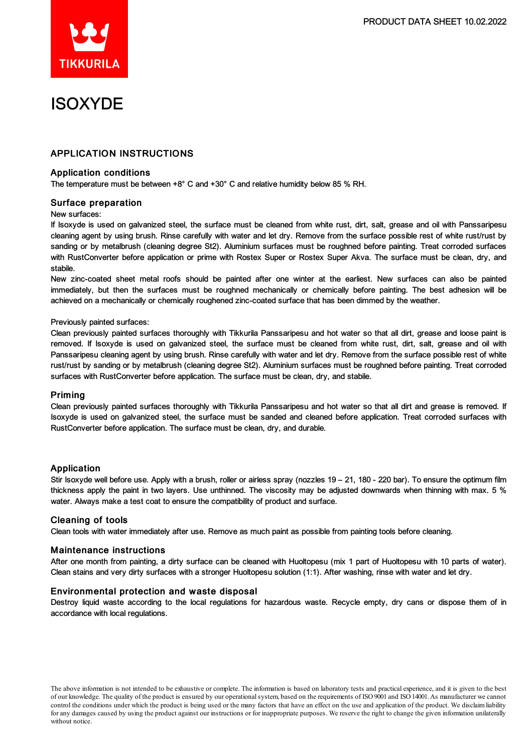

# ISOXYDE

### APPLICATION INSTRUCTIONS

#### Application conditions

The temperature must be between +8° C and +30° C and relative humidity below 85 % RH.

#### Surface preparation

#### New surfaces:

If Isoxyde is used on galvanized steel, the surface must be cleaned from white rust, dirt, salt, grease and oil with Panssaripesu cleaning agent by using brush. Rinse carefully with water and let dry. Remove from the surface possible rest of white rust/rust by sanding or by metalbrush (cleaning degree St2). Aluminium surfaces must be roughned before painting. Treat corroded surfaces with RustConverter before application or prime with Rostex Super or Rostex Super Akva. The surface must be clean, dry, and stabile.

New zinc-coated sheet metal roofs should be painted after one winter at the earliest. New surfaces can also be painted immediately, but then the surfaces must be roughned mechanically or chemically before painting. The best adhesion will be achieved on a mechanically or chemically roughened zinc-coated surface that has been dimmed by the weather.

#### Previously painted surfaces:

Clean previously painted surfaces thoroughly with Tikkurila Panssaripesu and hot water so that all dirt, grease and loose paint is removed. If Isoxyde is used on galvanized steel, the surface must be cleaned from white rust, dirt, salt, grease and oil with Panssaripesu cleaning agent by using brush. Rinse carefully with water and let dry. Remove from the surface possible rest of white rust/rust by sanding or by metalbrush (cleaning degree St2). Aluminium surfaces must be roughned before painting. Treat corroded surfaces with RustConverter before application. The surface must be clean, dry, and stabile.

#### Priming

Clean previously painted surfaces thoroughly with Tikkurila Panssaripesu and hot water so that all dirt and grease is removed. If Isoxyde is used on galvanized steel, the surface must be sanded and cleaned before application. Treat corroded surfaces with RustConverter before application. The surface must be clean, dry, and durable.

#### Application

Stir Isoxyde well before use. Apply with a brush, roller or airless spray (nozzles 19 – 21, 180 - 220 bar). To ensure the optimum film thickness apply the paint in two layers. Use unthinned. The viscosity may be adjusted downwards when thinning with max. 5 % water. Always make a test coat to ensure the compatibility of product and surface.

#### Cleaning of tools

Clean tools with water immediately after use. Remove as much paint as possible from painting tools before cleaning.

#### Maintenance instructions

After one month from painting, a dirty surface can be cleaned with Huoltopesu (mix 1 part of Huoltopesu with 10 parts of water). Clean stains and very dirty surfaces with a stronger Huoltopesu solution (1:1). After washing, rinse with water and let dry.

#### Environmental protection and waste disposal

Destroy liquid waste according to the local regulations for hazardous waste. Recycle empty, dry cans or dispose them of in accordance with local regulations.

The above information is not intended to be exhaustive or complete. The information is based on laboratory tests and practical experience, and it is given to the best of our knowledge. The quality of the product is ensured by our operationalsystem, based on the requirements of ISO9001 and ISO14001.As manufacturer we cannot control the conditions under which the product is being used or the many factors that have an effect on the use and application of the product. We disclaimliability forany damages caused by using the product against our instructions or for inappropriate purposes. We reserve the right to change the given information unilaterally without notice.